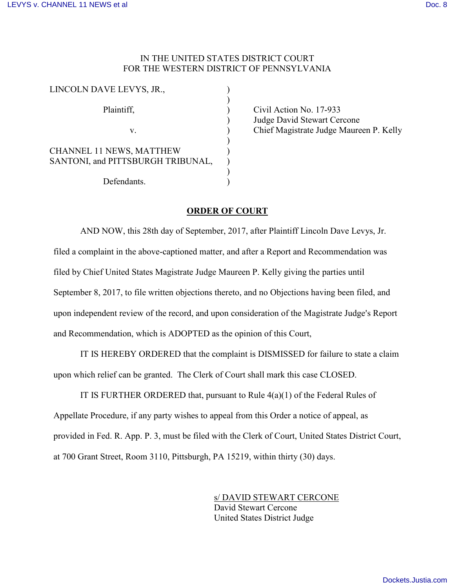## IN THE UNITED STATES DISTRICT COURT FOR THE WESTERN DISTRICT OF PENNSYLVANIA

| LINCOLN DAVE LEVYS, JR.,                                             |  |
|----------------------------------------------------------------------|--|
| Plaintiff,                                                           |  |
| V.                                                                   |  |
| <b>CHANNEL 11 NEWS, MATTHEW</b><br>SANTONI, and PITTSBURGH TRIBUNAL, |  |
| Defendants.                                                          |  |

Civil Action No. 17-933 Judge David Stewart Cercone Chief Magistrate Judge Maureen P. Kelly

## **ORDER OF COURT**

AND NOW, this 28th day of September, 2017, after Plaintiff Lincoln Dave Levys, Jr. filed a complaint in the above-captioned matter, and after a Report and Recommendation was filed by Chief United States Magistrate Judge Maureen P. Kelly giving the parties until September 8, 2017, to file written objections thereto, and no Objections having been filed, and upon independent review of the record, and upon consideration of the Magistrate Judge's Report and Recommendation, which is ADOPTED as the opinion of this Court,

IT IS HEREBY ORDERED that the complaint is DISMISSED for failure to state a claim upon which relief can be granted. The Clerk of Court shall mark this case CLOSED.

IT IS FURTHER ORDERED that, pursuant to Rule  $4(a)(1)$  of the Federal Rules of Appellate Procedure, if any party wishes to appeal from this Order a notice of appeal, as provided in Fed. R. App. P. 3, must be filed with the Clerk of Court, United States District Court, at 700 Grant Street, Room 3110, Pittsburgh, PA 15219, within thirty (30) days.

> s/ DAVID STEWART CERCONE David Stewart Cercone United States District Judge